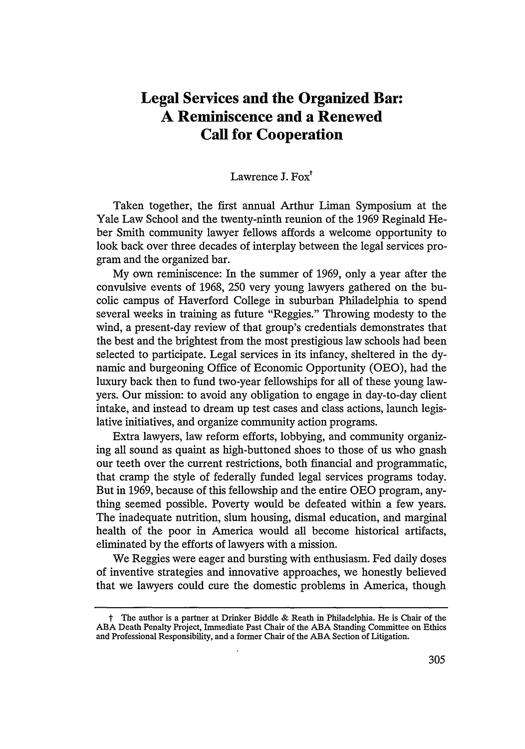# **Legal Services and the Organized Bar: A Reminiscence and a Renewed Call for Cooperation**

# Lawrence J. Fox'

Taken together, the first annual Arthur Liman Symposium at the Yale Law School and the twenty-ninth reunion of the 1969 Reginald Heber Smith community lawyer fellows affords a welcome opportunity to look back over three decades of interplay between the legal services program and the organized bar.

My own reminiscence: In the summer of 1969, only a year after the convulsive events of 1968, 250 very young lawyers gathered on the bucolic campus of Haverford College in suburban Philadelphia to spend several weeks in training as future "Reggies." Throwing modesty to the wind, a present-day review of that group's credentials demonstrates that the best and the brightest from the most prestigious law schools had been selected to participate. Legal services in its infancy, sheltered in the dynamic and burgeoning Office of Economic Opportunity (OEO), had the luxury back then to fund two-year fellowships for all of these young lawyers. Our mission: to avoid any obligation to engage in day-to-day client intake, and instead to dream up test cases and class actions, launch legislative initiatives, and organize community action programs.

Extra lawyers, law reform efforts, lobbying, and community organizing all sound as quaint as high-buttoned shoes to those of us who gnash our teeth over the current restrictions, both financial and programmatic, that cramp the style of federally funded legal services programs today. But in 1969, because of this fellowship and the entire **OEO** program, anything seemed possible. Poverty would be defeated within a few years. The inadequate nutrition, slum housing, dismal education, and marginal health of the poor in America would all become historical artifacts, eliminated by the efforts of lawyers with a mission.

We Reggies were eager and bursting with enthusiasm. Fed daily doses of inventive strategies and innovative approaches, we honestly believed that we lawyers could cure the domestic problems in America, though

t The author is a partner at Drinker Biddle & Reath in Philadelphia. He is Chair of the ABA Death Penalty Project, Immediate Past Chair of the ABA Standing Committee on Ethics and Professional Responsibility, and a former Chair of the ABA Section of Litigation.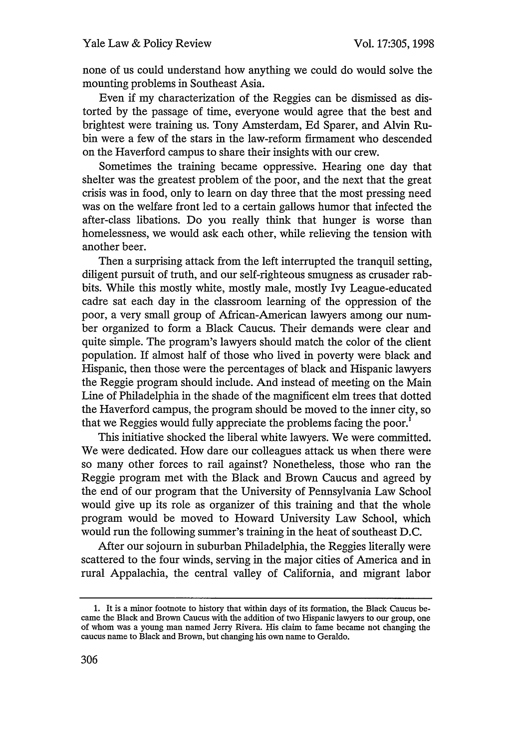none of us could understand how anything we could do would solve the mounting problems in Southeast Asia.

Even if my characterization of the Reggies can be dismissed as distorted by the passage of time, everyone would agree that the best and brightest were training us. Tony Amsterdam, Ed Sparer, and Alvin Rubin were a few of the stars in the law-reform firmament who descended on the Haverford campus to share their insights with our crew.

Sometimes the training became oppressive. Hearing one day that shelter was the greatest problem of the poor, and the next that the great crisis was in food, only to learn on day three that the most pressing need was on the welfare front led to a certain gallows humor that infected the after-class libations. Do you really think that hunger is worse than homelessness, we would ask each other, while relieving the tension with another beer.

Then a surprising attack from the left interrupted the tranquil setting, diligent pursuit of truth, and our self-righteous smugness as crusader rabbits. While this mostly white, mostly male, mostly Ivy League-educated cadre sat each day in the classroom learning of the oppression of the poor, a very small group of African-American lawyers among our number organized to form a Black Caucus. Their demands were clear and quite simple. The program's lawyers should match the color of the client population. If almost half of those who lived in poverty were black and Hispanic, then those were the percentages of black and Hispanic lawyers the Reggie program should include. And instead of meeting on the Main Line of Philadelphia in the shade of the magnificent elm trees that dotted the Haverford campus, the program should be moved to the inner city, so that we Reggies would fully appreciate the problems facing the poor.<sup>1</sup>

This initiative shocked the liberal white lawyers. We were committed. We were dedicated. How dare our colleagues attack us when there were so many other forces to rail against? Nonetheless, those who ran the Reggie program met with the Black and Brown Caucus and agreed by the end of our program that the University of Pennsylvania Law School would give up its role as organizer of this training and that the whole program would be moved to Howard University Law School, which would run the following summer's training in the heat of southeast D.C.

After our sojourn in suburban Philadelphia, the Reggies literally were scattered to the four winds, serving in the major cities of America and in rural Appalachia, the central valley of California, and migrant labor

<sup>1.</sup> It is a minor footnote to history that within days of its formation, the Black Caucus be came the Black and Brown Caucus with the addition of two Hispanic lawyers to our group, one of whom was a young man named Jerry Rivera. His claim to fame became not changing the caucus name to Black and Brown, but changing his own name to Geraldo.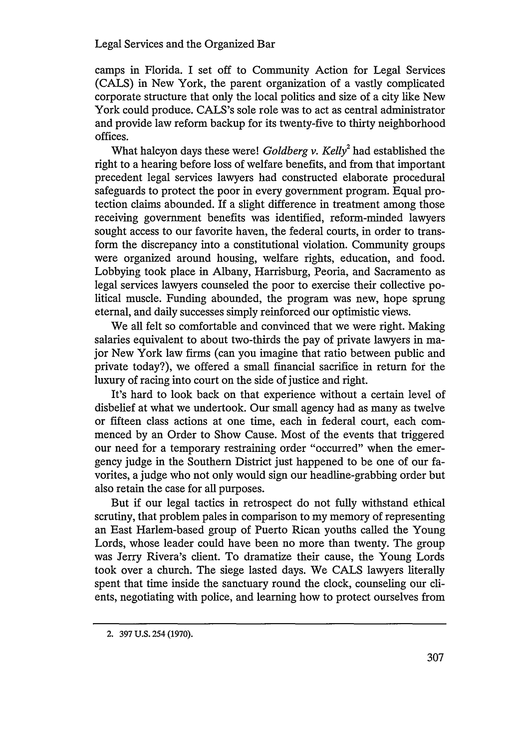camps in Florida. I set off to Community Action for Legal Services (CALS) in New York, the parent organization of a vastly complicated corporate structure that only the local politics and size of a city like New York could produce. CALS's sole role was to act as central administrator and provide law reform backup for its twenty-five to thirty neighborhood offices.

What halcyon days these were! *Goldberg v. Kelly*<sup>2</sup> had established the right to a hearing before loss of welfare benefits, and from that important precedent legal services lawyers had constructed elaborate procedural safeguards to protect the poor in every government program. Equal protection claims abounded. If a slight difference in treatment among those receiving government benefits was identified, reform-minded lawyers sought access to our favorite haven, the federal courts, in order to transform the discrepancy into a constitutional violation. Community groups were organized around housing, welfare rights, education, and food. Lobbying took place in Albany, Harrisburg, Peoria, and Sacramento as legal services lawyers counseled the poor to exercise their collective political muscle. Funding abounded, the program was new, hope sprung eternal, and daily successes simply reinforced our optimistic views.

We all felt so comfortable and convinced that we were right. Making salaries equivalent to about two-thirds the pay of private lawyers in major New York law firms (can you imagine that ratio between public and private today?), we offered a small financial sacrifice in return for the luxury of racing into court on the side of justice and right.

It's hard to look back on that experience without a certain level of disbelief at what we undertook. Our small agency had as many as twelve or fifteen class actions at one time, each in federal court, each commenced by an Order to Show Cause. Most of the events that triggered our need for a temporary restraining order "occurred" when the emergency judge in the Southern District just happened to be one of our favorites, a judge who not only would sign our headline-grabbing order but also retain the case for all purposes.

But if our legal tactics in retrospect do not fully withstand ethical scrutiny, that problem pales in comparison to my memory of representing an East Harlem-based group of Puerto Rican youths called the Young Lords, whose leader could have been no more than twenty. The group was Jerry Rivera's client. To dramatize their cause, the Young Lords took over a church. The siege lasted days. We CALS lawyers literally spent that time inside the sanctuary round the clock, counseling our clients, negotiating with police, and learning how to protect ourselves from

<sup>2.</sup> **397 U.s.** 254 **(1970).**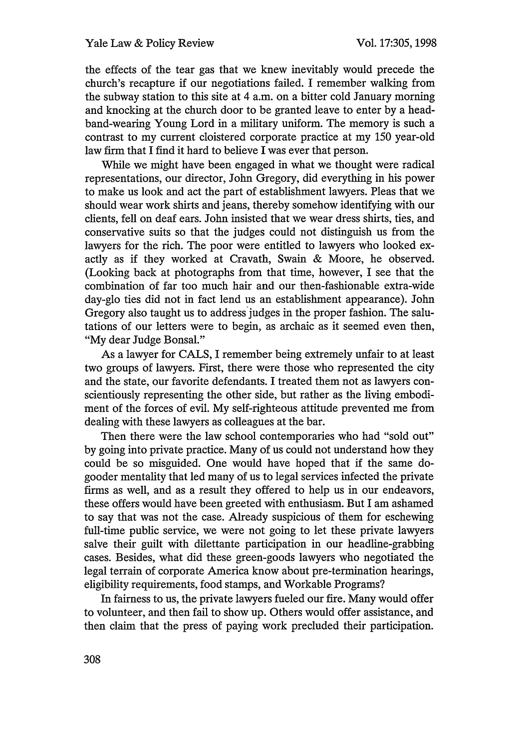the effects of the tear gas that we knew inevitably would precede the church's recapture if our negotiations failed. I remember walking from the subway station to this site at 4 a.m. on a bitter cold January morning and knocking at the church door to be granted leave to enter by a headband-wearing Young Lord in a military uniform. The memory is such a contrast to my current cloistered corporate practice at my 150 year-old law firm that I find it hard to believe I was ever that person.

While we might have been engaged in what we thought were radical representations, our director, John Gregory, did everything in his power to make us look and act the part of establishment lawyers. Pleas that we should wear work shirts and jeans, thereby somehow identifying with our clients, fell on deaf ears. John insisted that we wear dress shirts, ties, and conservative suits so that the judges could not distinguish us from the lawyers for the rich. The poor were entitled to lawyers who looked exactly as if they worked at Cravath, Swain & Moore, he observed. (Looking back at photographs from that time, however, I see that the combination of far too much hair and our then-fashionable extra-wide day-glo ties did not in fact lend us an establishment appearance). John Gregory also taught us to address judges in the proper fashion. The salutations of our letters were to begin, as archaic as it seemed even then, "My dear Judge Bonsai."

As a lawyer for CALS, I remember being extremely unfair to at least two groups of lawyers. First, there were those who represented the city and the state, our favorite defendants. I treated them not as lawyers conscientiously representing the other side, but rather as the living embodiment of the forces of evil. My self-righteous attitude prevented me from dealing with these lawyers as colleagues at the bar.

Then there were the law school contemporaries who had "sold out" by going into private practice. Many of us could not understand how they could be so misguided. One would have hoped that if the same dogooder mentality that led many of us to legal services infected the private firms as well, and as a result they offered to help us in our endeavors, these offers would have been greeted with enthusiasm. But I am ashamed to say that was not the case. Already suspicious of them for eschewing full-time public service, we were not going to let these private lawyers salve their guilt with dilettante participation in our headline-grabbing cases. Besides, what did these green-goods lawyers who negotiated the legal terrain of corporate America know about pre-termination hearings, eligibility requirements, food stamps, and Workable Programs?

In fairness to us, the private lawyers fueled our fire. Many would offer to volunteer, and then fail to show up. Others would offer assistance, and then claim that the press of paying work precluded their participation.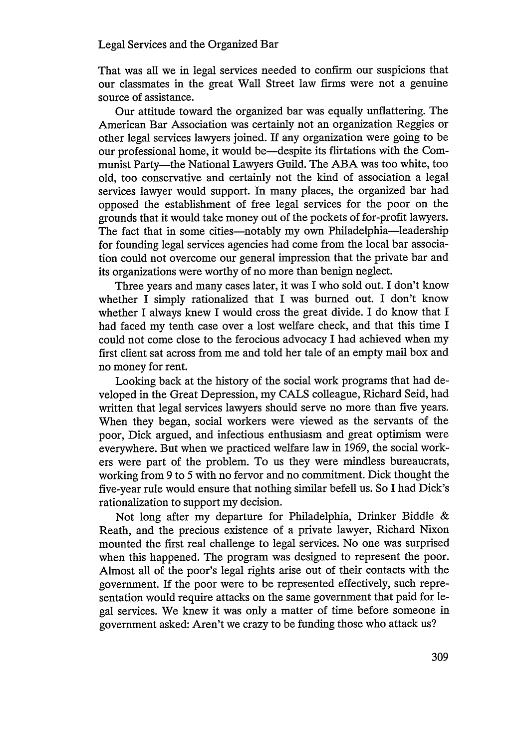That was all we in legal services needed to confirm our suspicions that our classmates in the great Wall Street law firms were not a genuine source of assistance.

Our attitude toward the organized bar was equally unflattering. The American Bar Association was certainly not an organization Reggies or other legal services lawyers joined. If any organization were going to be our professional home, it would be-despite its flirtations with the Communist Party-the National Lawyers Guild. The ABA was too white, too old, too conservative and certainly not the kind of association a legal services lawyer would support. In many places, the organized bar had opposed the establishment of free legal services for the poor on the grounds that it would take money out of the pockets of for-profit lawyers. The fact that in some cities—notably my own Philadelphia—leadership for founding legal services agencies had come from the local bar association could not overcome our general impression that the private bar and its organizations were worthy of no more than benign neglect.

Three years and many cases later, it was I who sold out. I don't know whether I simply rationalized that I was burned out. I don't know whether I always knew I would cross the great divide. I do know that I had faced my tenth case over a lost welfare check, and that this time I could not come close to the ferocious advocacy I had achieved when my first client sat across from me and told her tale of an empty mail box and no money for rent.

Looking back at the history of the social work programs that had developed in the Great Depression, my **CALS** colleague, Richard Seid, had written that legal services lawyers should serve no more than five years. When they began, social workers were viewed as the servants of the poor, Dick argued, and infectious enthusiasm and great optimism were everywhere. But when we practiced welfare law in 1969, the social workers were part of the problem. To us they were mindless bureaucrats, working from 9 to 5 with no fervor and no commitment. Dick thought the five-year rule would ensure that nothing similar befell us. So I had Dick's rationalization to support my decision.

Not long after my departure for Philadelphia, Drinker Biddle & Reath, and the precious existence of a private lawyer, Richard Nixon mounted the first real challenge to legal services. No one was surprised when this happened. The program was designed to represent the poor. Almost all of the poor's legal rights arise out of their contacts with the government. If the poor were to be represented effectively, such representation would require attacks on the same government that paid for legal services. We knew it was only a matter of time before someone in government asked: Aren't we crazy to be funding those who attack us?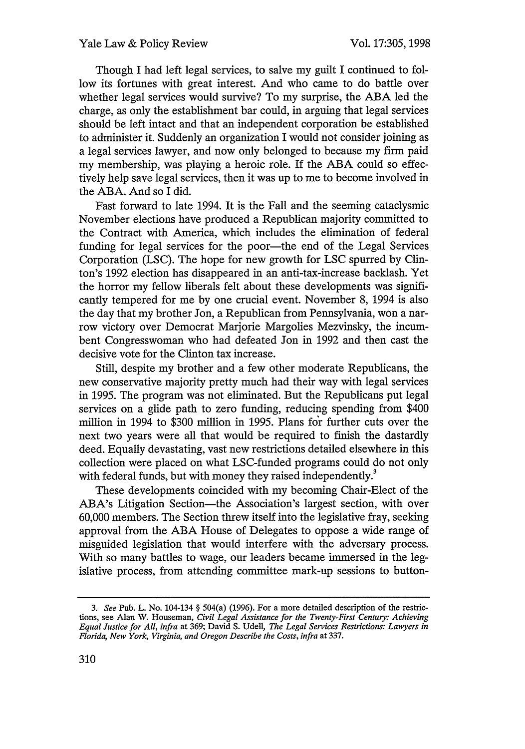Though I had left legal services, to salve my guilt I continued to follow its fortunes with great interest. And who came to do battle over whether legal services would survive? To my surprise, the ABA led the charge, as only the establishment bar could, in arguing that legal services should be left intact and that an independent corporation be established to administer it. Suddenly an organization I would not consider joining as a legal services lawyer, and now only belonged to because my **firm** paid my membership, was playing a heroic role. If the ABA could so effectively help save legal services, then it was up to me to become involved in the ABA. And so I did.

Fast forward to late 1994. It is the Fall and the seeming cataclysmic November elections have produced a Republican majority committed to the Contract with America, which includes the elimination of federal funding for legal services for the poor—the end of the Legal Services Corporation (LSC). The hope for new growth for LSC spurred by Clinton's 1992 election has disappeared in an anti-tax-increase backlash. Yet the horror my fellow liberals felt about these developments was significantly tempered for me by one crucial event. November 8, 1994 is also the day that my brother Jon, a Republican from Pennsylvania, won a narrow victory over Democrat Marjorie Margolies Mezvinsky, the incumbent Congresswoman who had defeated Jon in 1992 and then cast the decisive vote for the Clinton tax increase.

Still, despite my brother and a few other moderate Republicans, the new conservative majority pretty much had their way with legal services in 1995. The program was not eliminated. But the Republicans put legal services on a glide path to zero funding, reducing spending from \$400 million in 1994 to \$300 million in 1995. Plans for further cuts over the next two years were all that would be required to finish the dastardly deed. Equally devastating, vast new restrictions detailed elsewhere in this collection were placed on what LSC-funded programs could do not only with federal funds, but with money they raised independently.<sup>3</sup>

These developments coincided with my becoming Chair-Elect of the ABA's Litigation Section—the Association's largest section, with over 60,000 members. The Section threw itself into the legislative fray, seeking approval from the ABA House of Delegates to oppose a wide range of misguided legislation that would interfere with the adversary process. With so many battles to wage, our leaders became immersed in the legislative process, from attending committee mark-up sessions to button-

*<sup>3.</sup> See* Pub. L. No. 104-134 § 504(a) (1996). For a more detailed description of the restrictions, see Alan W. Houseman, *Civil Legal Assistance for the Twenty-First Century: Achieving Equal Justice for All, infra* at 369; David S. Udell, *The Legal Services Restrictions: Lawyers in Florida, New York, Virginia, and Oregon Describe the Costs, infra* at 337.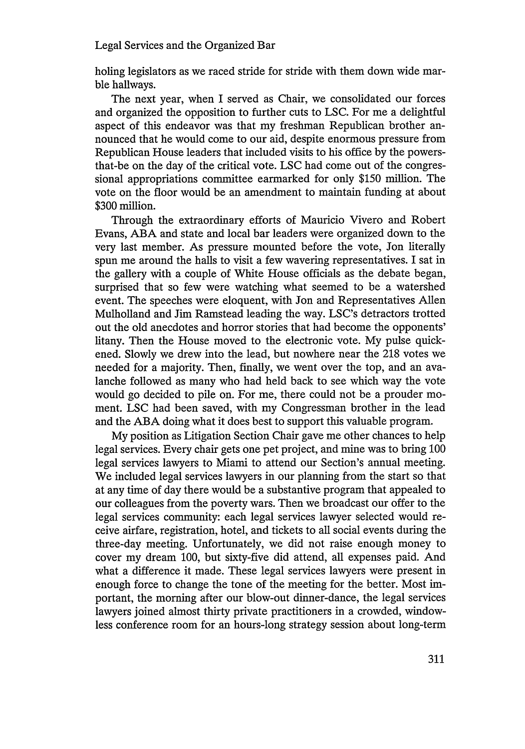holing legislators as we raced stride for stride with them down wide marble hallways.

The next year, when I served as Chair, we consolidated our forces and organized the opposition to further cuts to LSC. For me a delightful aspect of this endeavor was that my freshman Republican brother announced that he would come to our aid, despite enormous pressure from Republican House leaders that included visits to his office by the powersthat-be on the day of the critical vote. LSC had come out of the congressional appropriations committee earmarked for only \$150 million. The vote on the floor would be an amendment to maintain funding at about \$300 million.

Through the extraordinary efforts of Mauricio Vivero and Robert Evans, ABA and state and local bar leaders were organized down to the very last member. As pressure mounted before the vote, Jon literally spun me around the halls to visit a few wavering representatives. I sat in the gallery with a couple of White House officials as the debate began, surprised that so few were watching what seemed to be a watershed event. The speeches were eloquent, with Jon and Representatives Allen Mulholland and Jim Ramstead leading the way. LSC's detractors trotted out the old anecdotes and horror stories that had become the opponents' litany. Then the House moved to the electronic vote. My pulse quickened. Slowly we drew into the lead, but nowhere near the 218 votes we needed for a majority. Then, finally, we went over the top, and an avalanche followed as many who had held back to see which way the vote would go decided to pile on. For me, there could not be a prouder moment. LSC had been saved, with my Congressman brother in the lead and the ABA doing what it does best to support this valuable program.

My position as Litigation Section Chair gave me other chances to help legal services. Every chair gets one pet project, and mine was to bring 100 legal services lawyers to Miami to attend our Section's annual meeting. We included legal services lawyers in our planning from the start so that at any time of day there would be a substantive program that appealed to our colleagues from the poverty wars. Then we broadcast our offer to the legal services community: each legal services lawyer selected would receive airfare, registration, hotel, and tickets to all social events during the three-day meeting. Unfortunately, we did not raise enough money to cover my dream 100, but sixty-five did attend, all expenses paid. And what a difference it made. These legal services lawyers were present in enough force to change the tone of the meeting for the better. Most important, the morning after our blow-out dinner-dance, the legal services lawyers joined almost thirty private practitioners in a crowded, windowless conference room for an hours-long strategy session about long-term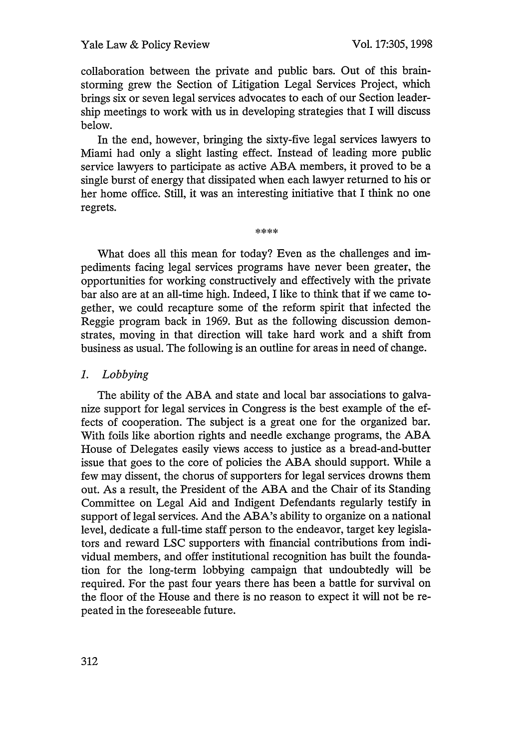### Yale Law & Policy Review

collaboration between the private and public bars. Out of this brainstorming grew the Section of Litigation Legal Services Project, which brings six or seven legal services advocates to each of our Section leadership meetings to work with us in developing strategies that I will discuss below.

In the end, however, bringing the sixty-five legal services lawyers to Miami had only a slight lasting effect. Instead of leading more public service lawyers to participate as active ABA members, it proved to be a single burst of energy that dissipated when each lawyer returned to his or her home office. Still, it was an interesting initiative that I think no one regrets.

\*\*\*\*

What does all this mean for today? Even as the challenges and impediments facing legal services programs have never been greater, the opportunities for working constructively and effectively with the private bar also are at an all-time high. Indeed, I like to think that if we came together, we could recapture some of the reform spirit that infected the Reggie program back in 1969. But as the following discussion demonstrates, moving in that direction will take hard work and a shift from business as usual. The following is an outline for areas in need of change.

## *1. Lobbying*

The ability of the ABA and state and local bar associations to galvanize support for legal services in Congress is the best example of the effects of cooperation. The subject is a great one for the organized bar. With foils like abortion rights and needle exchange programs, the ABA House of Delegates easily views access to justice as a bread-and-butter issue that goes to the core of policies the ABA should support. While a few may dissent, the chorus of supporters for legal services drowns them out. As a result, the President of the ABA and the Chair of its Standing Committee on Legal Aid and Indigent Defendants regularly testify in support of legal services. And the ABA's ability to organize on a national level, dedicate a full-time staff person to the endeavor, target key legislators and reward LSC supporters with financial contributions from individual members, and offer institutional recognition has built the foundation for the long-term lobbying campaign that undoubtedly will be required. For the past four years there has been a battle for survival on the floor of the House and there is no reason to expect it will not be repeated in the foreseeable future.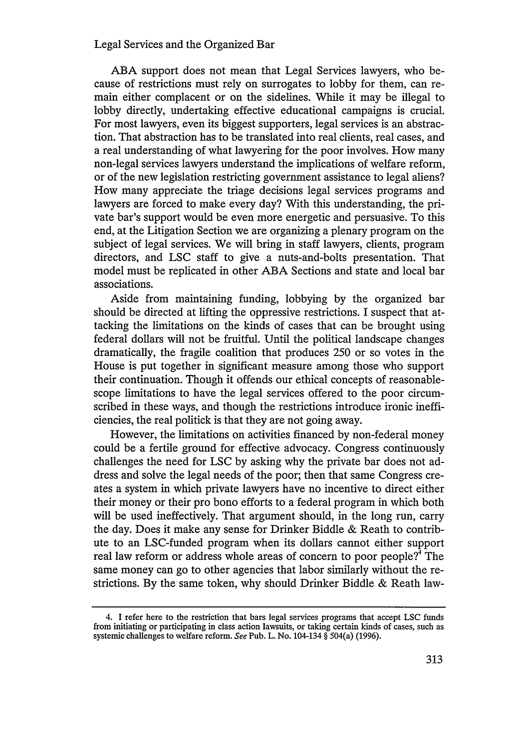#### Legal Services and the Organized Bar

ABA support does not mean that Legal Services lawyers, who because of restrictions must rely on surrogates to lobby for them, can remain either complacent or on the sidelines. While it may be illegal to lobby directly, undertaking effective educational campaigns is crucial. For most lawyers, even its biggest supporters, legal services is an abstraction. That abstraction has to be translated into real clients, real cases, and a real understanding of what lawyering for the poor involves. How many non-legal services lawyers understand the implications of welfare reform, or of the new legislation restricting government assistance to legal aliens? How many appreciate the triage decisions legal services programs and lawyers are forced to make every day? With this understanding, the private bar's support would be even more energetic and persuasive. To this end, at the Litigation Section we are organizing a plenary program on the subject of legal services. We will bring in staff lawyers, clients, program directors, and LSC staff to give a nuts-and-bolts presentation. That model must be replicated in other ABA Sections and state and local bar associations.

Aside from maintaining funding, lobbying by the organized bar should be directed at lifting the oppressive restrictions. I suspect that attacking the limitations on the kinds of cases that can be brought using federal dollars will not be fruitful. Until the political landscape changes dramatically, the fragile coalition that produces 250 or so votes in the House is put together in significant measure among those who support their continuation. Though it offends our ethical concepts of reasonablescope limitations to have the legal services offered to the poor circumscribed in these ways, and though the restrictions introduce ironic inefficiencies, the real politick is that they are not going away.

However, the limitations on activities financed by non-federal money could be a fertile ground for effective advocacy. Congress continuously challenges the need for **LSC** by asking why the private bar does not address and solve the legal needs of the poor; then that same Congress creates a system in which private lawyers have no incentive to direct either their money or their pro bono efforts to a federal program in which both will be used ineffectively. That argument should, in the long run, carry the day. Does it make any sense for Drinker Biddle & Reath to contribute to an LSC-funded program when its dollars cannot either support real law reform or address whole areas of concern to poor people?<sup>4</sup> The same money can go to other agencies that labor similarly without the restrictions. By the same token, why should Drinker Biddle & Reath law-

<sup>4.</sup> I refer here to the restriction that bars legal services programs that accept LSC funds from initiating or participating in class action lawsuits, or taking certain kinds of cases, such as systemic challenges to welfare reform. *See* Pub. L. No. 104-134 § 504(a) (1996).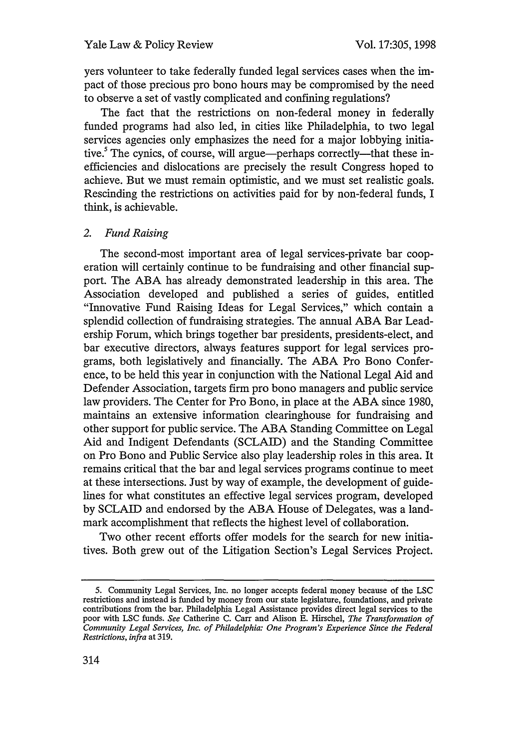yers volunteer to take federally funded legal services cases when the impact of those precious pro bono hours may be compromised by the need to observe a set of vastly complicated and confining regulations?

The fact that the restrictions on non-federal money in federally funded programs had also led, in cities like Philadelphia, to two legal services agencies only emphasizes the need for a major lobbying initiative.<sup>5</sup> The cynics, of course, will argue—perhaps correctly—that these inefficiencies and dislocations are precisely the result Congress hoped to achieve. But we must remain optimistic, and we must set realistic goals. Rescinding the restrictions on activities paid for by non-federal funds, I think, is achievable.

### *2. Fund Raising*

The second-most important area of legal services-private bar cooperation will certainly continue to be fundraising and other financial support. The ABA has already demonstrated leadership in this area. The Association developed and published a series of guides, entitled "Innovative Fund Raising Ideas for Legal Services," which contain a splendid collection of fundraising strategies. The annual ABA Bar Leadership Forum, which brings together bar presidents, presidents-elect, and bar executive directors, always features support for legal services programs, both legislatively and financially. The ABA Pro Bono Conference, to be held this year in conjunction with the National Legal Aid and Defender Association, targets firm pro bono managers and public service law providers. The Center for Pro Bono, in place at the ABA since 1980, maintains an extensive information clearinghouse for fundraising and other support for public service. The ABA Standing Committee on Legal Aid and Indigent Defendants (SCLAID) and the Standing Committee on Pro Bono and Public Service also play leadership roles in this area. It remains critical that the bar and legal services programs continue to meet at these intersections. Just by way of example, the development of guidelines for what constitutes an effective legal services program, developed by SCLAID and endorsed by the ABA House of Delegates, was a landmark accomplishment that reflects the highest level of collaboration.

Two other recent efforts offer models for the search for new initiatives. Both grew out of the Litigation Section's Legal Services Project.

**<sup>5.</sup>** Community Legal Services, Inc. no longer accepts federal money because of the LSC restrictions and instead is funded by money from our state legislature, foundations, and private contributions from the bar. Philadelphia Legal Assistance provides direct legal services to the poor with LSC funds. *See* Catherine C. Carr and Alison E. Hirschel, *The Transformation of Community Legal Services, Inc. of Philadelphia: One Program's Experience Since the Federal Restrictions, infra* at 319.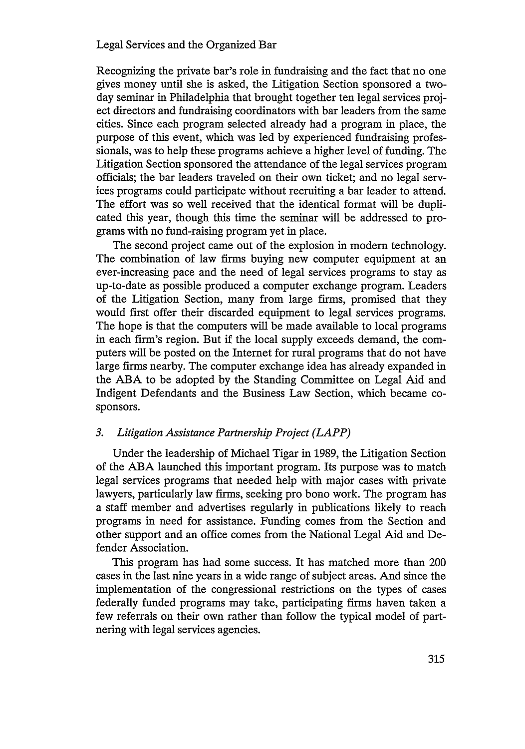### Legal Services and the Organized Bar

Recognizing the private bar's role in fundraising and the fact that no one gives money until she is asked, the Litigation Section sponsored a twoday seminar in Philadelphia that brought together ten legal services project directors and fundraising coordinators with bar leaders from the same cities. Since each program selected already had a program in place, the purpose of this event, which was led by experienced fundraising professionals, was to help these programs achieve a higher level of funding. The Litigation Section sponsored the attendance of the legal services program officials; the bar leaders traveled on their own ticket; and no legal services programs could participate without recruiting a bar leader to attend. The effort was so well received that the identical format will be duplicated this year, though this time the seminar will be addressed to programs with no fund-raising program yet in place.

The second project came out of the explosion in modem technology. The combination of law firms buying new computer equipment at an ever-increasing pace and the need of legal services programs to stay as up-to-date as possible produced a computer exchange program. Leaders of the Litigation Section, many from large firms, promised that they would first offer their discarded equipment to legal services programs. The hope is that the computers will be made available to local programs in each firm's region. But if the local supply exceeds demand, the computers will be posted on the Internet for rural programs that do not have large firms nearby. The computer exchange idea has already expanded in the ABA to be adopted by the Standing Committee on Legal Aid and Indigent Defendants and the Business Law Section, which became cosponsors.

### *3. Litigation Assistance Partnership Project (LAPP)*

Under the leadership of Michael Tigar in 1989, the Litigation Section of the ABA launched this important program. Its purpose was to match legal services programs that needed help with major cases with private lawyers, particularly law firms, seeking pro bono work. The program has a staff member and advertises regularly in publications likely to reach programs in need for assistance. Funding comes from the Section and other support and an office comes from the National Legal Aid and Defender Association.

This program has had some success. It has matched more than 200 cases in the last nine years in a wide range of subject areas. And since the implementation of the congressional restrictions on the types of cases federally funded programs may take, participating firms haven taken a few referrals on their own rather than follow the typical model of partnering with legal services agencies.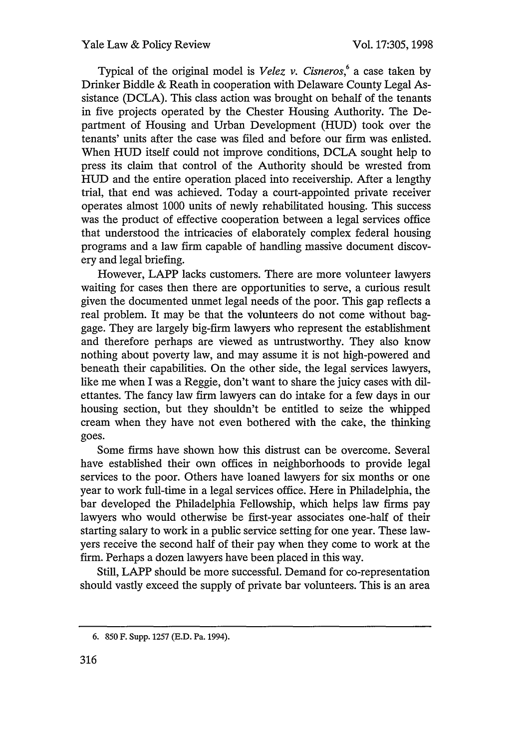Typical of the original model is *Velez v. Cisneros*, <sup>6</sup> a case taken by Drinker Biddle & Reath in cooperation with Delaware County Legal Assistance (DCLA). This class action was brought on behalf of the tenants in five projects operated by the Chester Housing Authority. The Department of Housing and Urban Development (HUD) took over the tenants' units after the case was filed and before our firm was enlisted. When HUD itself could not improve conditions, DCLA sought help to press its claim that control of the Authority should be wrested from HUD and the entire operation placed into receivership. After a lengthy trial, that end was achieved. Today a court-appointed private receiver operates almost 1000 units of newly rehabilitated housing. This success was the product of effective cooperation between a legal services office that understood the intricacies of elaborately complex federal housing programs and a law firm capable of handling massive document discovery and legal briefing.

However, LAPP lacks customers. There are more volunteer lawyers waiting for cases then there are opportunities to serve, a curious result given the documented unmet legal needs of the poor. This gap reflects a real problem. It may be that the volunteers do not come without baggage. They are largely big-firm lawyers who represent the establishment and therefore perhaps are viewed as untrustworthy. They also know nothing about poverty law, and may assume it is not high-powered and beneath their capabilities. On the other side, the legal services lawyers, like me when I was a Reggie, don't want to share the juicy cases with dilettantes. The fancy law firm lawyers can do intake for a few days in our housing section, but they shouldn't be entitled to seize the whipped cream when they have not even bothered with the cake, the thinking goes.

Some firms have shown how this distrust can be overcome. Several have established their own offices in neighborhoods to provide legal services to the poor. Others have loaned lawyers for six months or one year to work full-time in a legal services office. Here in Philadelphia, the bar developed the Philadelphia Fellowship, which helps law firms pay lawyers who would otherwise be first-year associates one-half of their starting salary to work in a public service setting for one year. These lawyers receive the second half of their pay when they come to work at the firm. Perhaps a dozen lawyers have been placed in this way.

Still, LAPP should be more successful. Demand for co-representation should vastly exceed the supply of private bar volunteers. This is an area

**<sup>6. 850</sup>** F. Supp. **1257 (E.D.** Pa. 1994).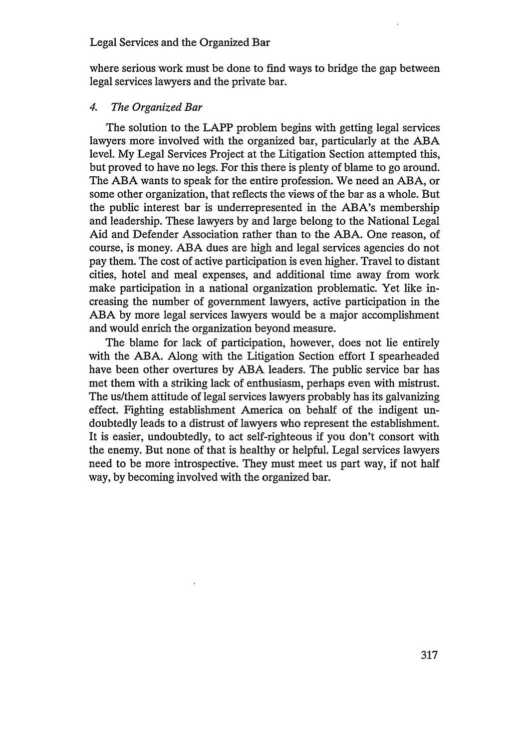### Legal Services and the Organized Bar

where serious work must be done to find ways to bridge the gap between legal services lawyers and the private bar.

#### *4. The Organized Bar*

The solution to the LAPP problem begins with getting legal services lawyers more involved with the organized bar, particularly at the ABA level. My Legal Services Project at the Litigation Section attempted this, but proved to have no legs. For this there is plenty of blame to go around. The ABA wants to speak for the entire profession. We need an ABA, or some other organization, that reflects the views of the bar as a whole. But the public interest bar is underrepresented in the ABA's membership and leadership. These lawyers by and large belong to the National Legal Aid and Defender Association rather than to the ABA. One reason, of course, is money. ABA dues are high and legal services agencies do not pay them. The cost of active participation is even higher. Travel to distant cities, hotel and meal expenses, and additional time away from work make participation in a national organization problematic. Yet like increasing the number of government lawyers, active participation in the ABA by more legal services lawyers would be a major accomplishment and would enrich the organization beyond measure.

The blame for lack of participation, however, does not lie entirely with the ABA. Along with the Litigation Section effort I spearheaded have been other overtures by ABA leaders. The public service bar has met them with a striking lack of enthusiasm, perhaps even with mistrust. The us/them attitude of legal services lawyers probably has its galvanizing effect. Fighting establishment America on behalf of the indigent undoubtedly leads to a distrust of lawyers who represent the establishment. It is easier, undoubtedly, to act self-righteous if you don't consort with the enemy. But none of that is healthy or helpful. Legal services lawyers need to be more introspective. They must meet us part way, if not half way, by becoming involved with the organized bar.